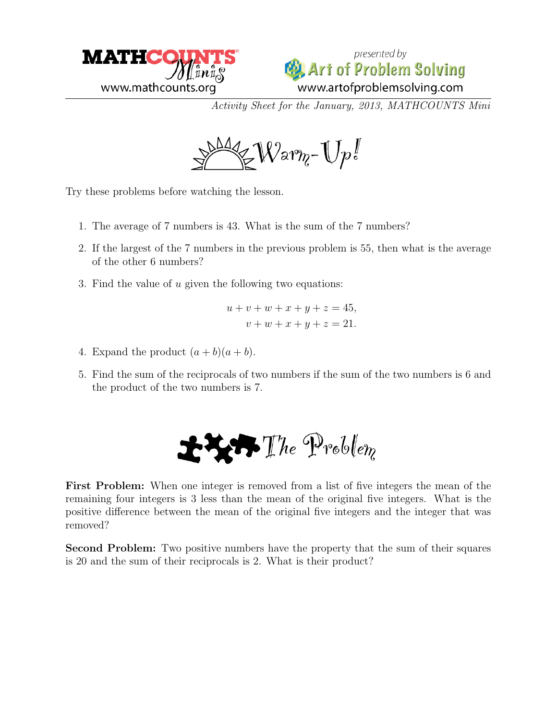



Activity Sheet for the January, 2013, MATHCOUNTS Mini



Try these problems before watching the lesson.

- 1. The average of 7 numbers is 43. What is the sum of the 7 numbers?
- 2. If the largest of the 7 numbers in the previous problem is 55, then what is the average of the other 6 numbers?
- 3. Find the value of u given the following two equations:

$$
u + v + w + x + y + z = 45,
$$
  

$$
v + w + x + y + z = 21.
$$

- 4. Expand the product  $(a + b)(a + b)$ .
- 5. Find the sum of the reciprocals of two numbers if the sum of the two numbers is 6 and the product of the two numbers is 7.

$$
\mathbf{H} \mathbf{H} \mathbf{F}
$$
 The Problem

First Problem: When one integer is removed from a list of five integers the mean of the remaining four integers is 3 less than the mean of the original five integers. What is the positive difference between the mean of the original five integers and the integer that was removed?

Second Problem: Two positive numbers have the property that the sum of their squares is 20 and the sum of their reciprocals is 2. What is their product?